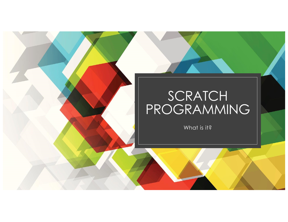## SCRATCH PROGRAMMING

What is it?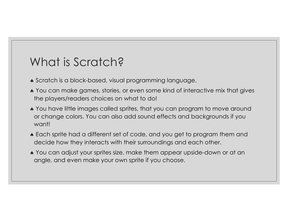## What is Scratch?

- Scratch is a block-based, visual programming language.
- You can make games, stories, or even some kind of interactive mix that gives the players/readers choices on what to do!
- You have little images called sprites, that you can program to move around or change colors. You can also add sound effects and backgrounds if you want!
- Each sprite had a different set of code, and you get to program them and decide how they interacts with their surroundings and each other.
- ª You can adjust your sprites size, make them appear upside-down or at an angle, and even make your own sprite if you choose.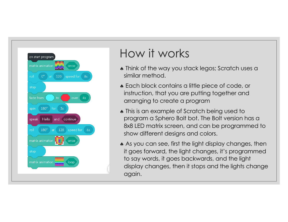

## How it works

- Think of the way you stack legos; Scratch uses a similar method.
- Each block contains a little piece of code, or instruction, that you are putting together and arranging to create a program
- This is an example of Scratch being used to program a Sphero Bolt bot. The Bolt version has a 8x8 LED matrix screen, and can be programmed to show different designs and colors.
- As you can see, first the light display changes, then it goes forward, the light changes, it's programmed to say words, it goes backwards, and the light display changes, then it stops and the lights change again.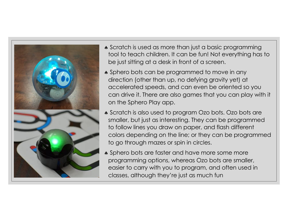

- Scratch is used as more than just a basic programming tool to teach children. It can be fun! Not everything has to be just sitting at a desk in front of a screen.
- Sphero bots can be programmed to move in any direction (other than up, no defying gravity yet) at accelerated speeds, and can even be oriented so you can drive it. There are also games that you can play with it on the Sphero Play app.
- Scratch is also used to program Ozo bots. Ozo bots are smaller, but just as interesting. They can be programmed to follow lines you draw on paper, and flash different colors depending on the line; or they can be programmed to go through mazes or spin in circles.
- Sphero bots are faster and have more some more programming options, whereas Ozo bots are smaller, easier to carry with you to program, and often used in classes, although they're just as much fun